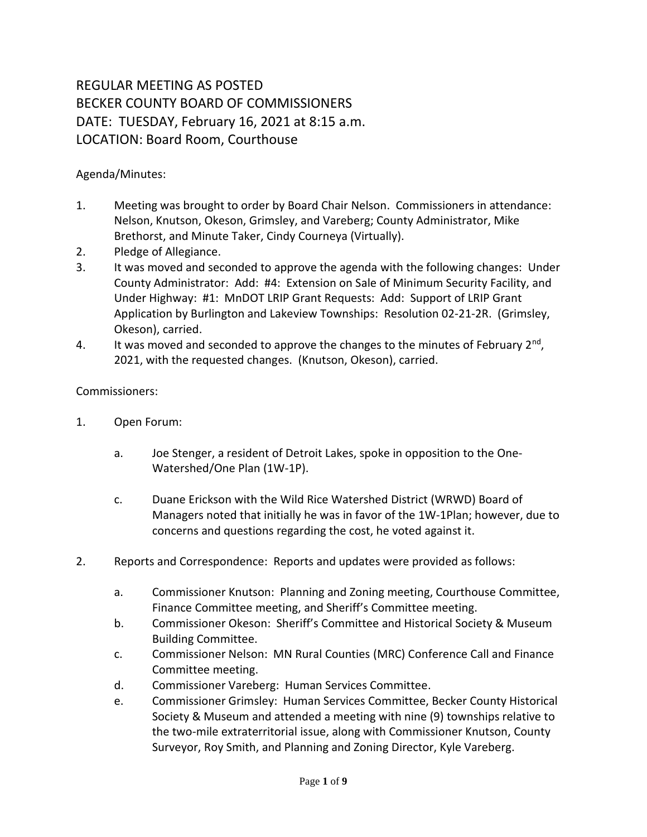## REGULAR MEETING AS POSTED BECKER COUNTY BOARD OF COMMISSIONERS DATE: TUESDAY, February 16, 2021 at 8:15 a.m. LOCATION: Board Room, Courthouse

## Agenda/Minutes:

- 1. Meeting was brought to order by Board Chair Nelson. Commissioners in attendance: Nelson, Knutson, Okeson, Grimsley, and Vareberg; County Administrator, Mike Brethorst, and Minute Taker, Cindy Courneya (Virtually).
- 2. Pledge of Allegiance.
- 3. It was moved and seconded to approve the agenda with the following changes: Under County Administrator: Add: #4: Extension on Sale of Minimum Security Facility, and Under Highway: #1: MnDOT LRIP Grant Requests: Add: Support of LRIP Grant Application by Burlington and Lakeview Townships: Resolution 02-21-2R. (Grimsley, Okeson), carried.
- 4. It was moved and seconded to approve the changes to the minutes of February 2<sup>nd</sup>, 2021, with the requested changes. (Knutson, Okeson), carried.

## Commissioners:

- 1. Open Forum:
	- a. Joe Stenger, a resident of Detroit Lakes, spoke in opposition to the One-Watershed/One Plan (1W-1P).
	- c. Duane Erickson with the Wild Rice Watershed District (WRWD) Board of Managers noted that initially he was in favor of the 1W-1Plan; however, due to concerns and questions regarding the cost, he voted against it.
- 2. Reports and Correspondence: Reports and updates were provided as follows:
	- a. Commissioner Knutson: Planning and Zoning meeting, Courthouse Committee, Finance Committee meeting, and Sheriff's Committee meeting.
	- b. Commissioner Okeson: Sheriff's Committee and Historical Society & Museum Building Committee.
	- c. Commissioner Nelson: MN Rural Counties (MRC) Conference Call and Finance Committee meeting.
	- d. Commissioner Vareberg: Human Services Committee.
	- e. Commissioner Grimsley: Human Services Committee, Becker County Historical Society & Museum and attended a meeting with nine (9) townships relative to the two-mile extraterritorial issue, along with Commissioner Knutson, County Surveyor, Roy Smith, and Planning and Zoning Director, Kyle Vareberg.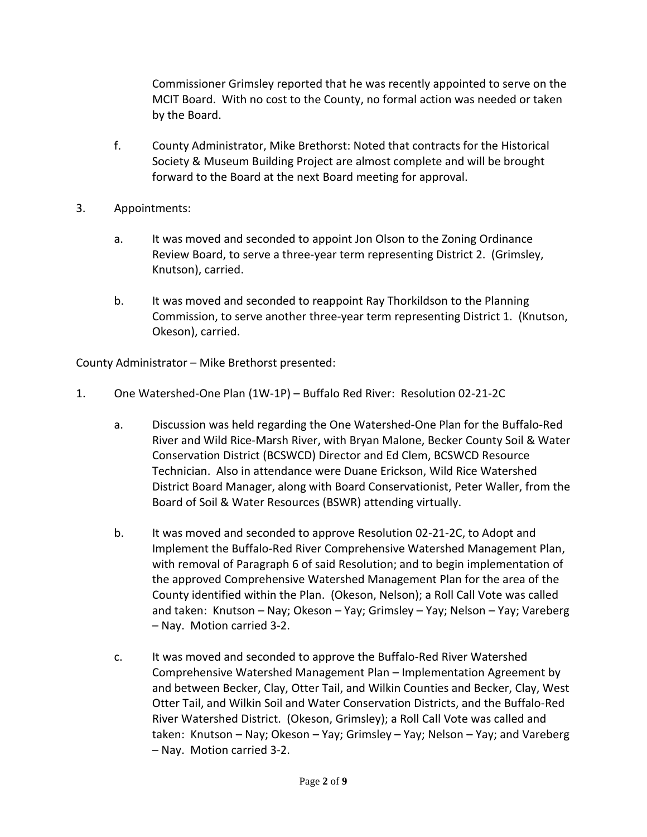Commissioner Grimsley reported that he was recently appointed to serve on the MCIT Board. With no cost to the County, no formal action was needed or taken by the Board.

- f. County Administrator, Mike Brethorst: Noted that contracts for the Historical Society & Museum Building Project are almost complete and will be brought forward to the Board at the next Board meeting for approval.
- 3. Appointments:
	- a. It was moved and seconded to appoint Jon Olson to the Zoning Ordinance Review Board, to serve a three-year term representing District 2. (Grimsley, Knutson), carried.
	- b. It was moved and seconded to reappoint Ray Thorkildson to the Planning Commission, to serve another three-year term representing District 1. (Knutson, Okeson), carried.

County Administrator – Mike Brethorst presented:

- 1. One Watershed-One Plan (1W-1P) Buffalo Red River: Resolution 02-21-2C
	- a. Discussion was held regarding the One Watershed-One Plan for the Buffalo-Red River and Wild Rice-Marsh River, with Bryan Malone, Becker County Soil & Water Conservation District (BCSWCD) Director and Ed Clem, BCSWCD Resource Technician. Also in attendance were Duane Erickson, Wild Rice Watershed District Board Manager, along with Board Conservationist, Peter Waller, from the Board of Soil & Water Resources (BSWR) attending virtually.
	- b. It was moved and seconded to approve Resolution 02-21-2C, to Adopt and Implement the Buffalo-Red River Comprehensive Watershed Management Plan, with removal of Paragraph 6 of said Resolution; and to begin implementation of the approved Comprehensive Watershed Management Plan for the area of the County identified within the Plan. (Okeson, Nelson); a Roll Call Vote was called and taken: Knutson – Nay; Okeson – Yay; Grimsley – Yay; Nelson – Yay; Vareberg – Nay. Motion carried 3-2.
	- c. It was moved and seconded to approve the Buffalo-Red River Watershed Comprehensive Watershed Management Plan – Implementation Agreement by and between Becker, Clay, Otter Tail, and Wilkin Counties and Becker, Clay, West Otter Tail, and Wilkin Soil and Water Conservation Districts, and the Buffalo-Red River Watershed District. (Okeson, Grimsley); a Roll Call Vote was called and taken: Knutson – Nay; Okeson – Yay; Grimsley – Yay; Nelson – Yay; and Vareberg – Nay. Motion carried 3-2.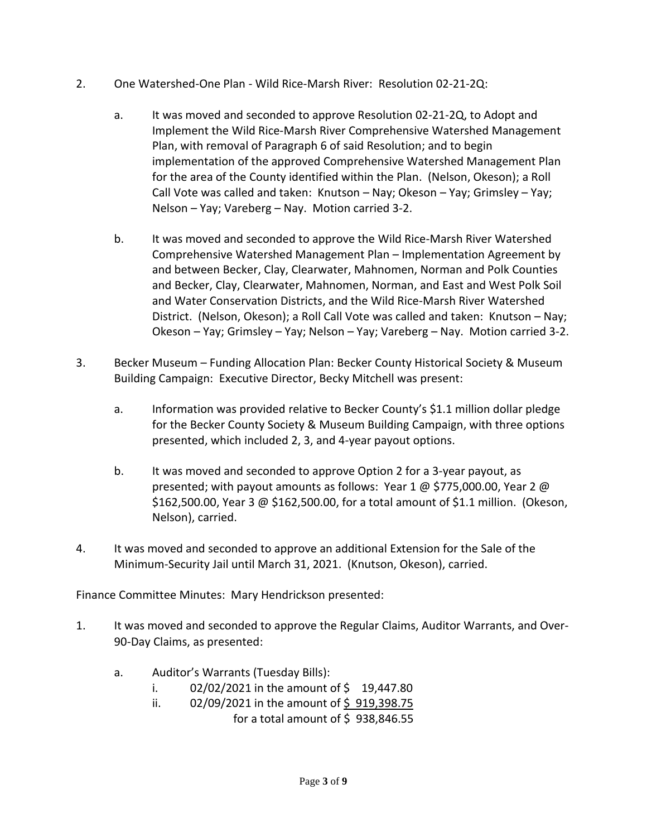- 2. One Watershed-One Plan Wild Rice-Marsh River: Resolution 02-21-2Q:
	- a. It was moved and seconded to approve Resolution 02-21-2Q, to Adopt and Implement the Wild Rice-Marsh River Comprehensive Watershed Management Plan, with removal of Paragraph 6 of said Resolution; and to begin implementation of the approved Comprehensive Watershed Management Plan for the area of the County identified within the Plan. (Nelson, Okeson); a Roll Call Vote was called and taken: Knutson – Nay; Okeson – Yay; Grimsley – Yay; Nelson – Yay; Vareberg – Nay. Motion carried 3-2.
	- b. It was moved and seconded to approve the Wild Rice-Marsh River Watershed Comprehensive Watershed Management Plan – Implementation Agreement by and between Becker, Clay, Clearwater, Mahnomen, Norman and Polk Counties and Becker, Clay, Clearwater, Mahnomen, Norman, and East and West Polk Soil and Water Conservation Districts, and the Wild Rice-Marsh River Watershed District. (Nelson, Okeson); a Roll Call Vote was called and taken: Knutson – Nay; Okeson – Yay; Grimsley – Yay; Nelson – Yay; Vareberg – Nay. Motion carried 3-2.
- 3. Becker Museum Funding Allocation Plan: Becker County Historical Society & Museum Building Campaign: Executive Director, Becky Mitchell was present:
	- a. Information was provided relative to Becker County's \$1.1 million dollar pledge for the Becker County Society & Museum Building Campaign, with three options presented, which included 2, 3, and 4-year payout options.
	- b. It was moved and seconded to approve Option 2 for a 3-year payout, as presented; with payout amounts as follows: Year 1 @ \$775,000.00, Year 2 @ \$162,500.00, Year 3 @ \$162,500.00, for a total amount of \$1.1 million. (Okeson, Nelson), carried.
- 4. It was moved and seconded to approve an additional Extension for the Sale of the Minimum-Security Jail until March 31, 2021. (Knutson, Okeson), carried.

Finance Committee Minutes: Mary Hendrickson presented:

- 1. It was moved and seconded to approve the Regular Claims, Auditor Warrants, and Over-90-Day Claims, as presented:
	- a. Auditor's Warrants (Tuesday Bills):
		- i.  $02/02/2021$  in the amount of \$ 19,447.80
		- ii.  $02/09/2021$  in the amount of \$919,398.75 for a total amount of  $\frac{2}{5}$  938,846.55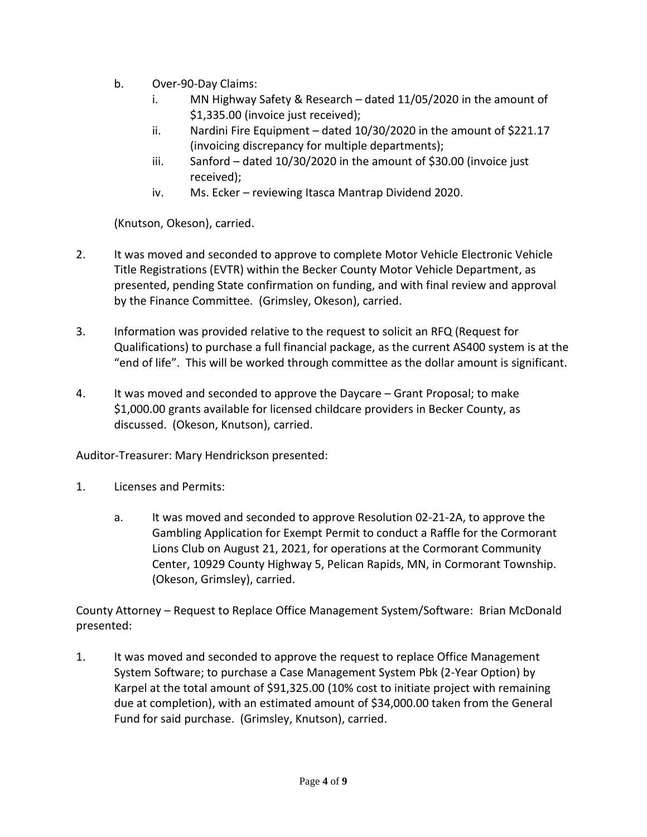- b. Over-90-Day Claims:
	- i. MN Highway Safety & Research dated 11/05/2020 in the amount of \$1,335.00 (invoice just received);
	- ii. Nardini Fire Equipment dated 10/30/2020 in the amount of \$221.17 (invoicing discrepancy for multiple departments);
	- iii. Sanford dated 10/30/2020 in the amount of \$30.00 (invoice just received);
	- iv. Ms. Ecker reviewing Itasca Mantrap Dividend 2020.

(Knutson, Okeson), carried.

- 2. It was moved and seconded to approve to complete Motor Vehicle Electronic Vehicle Title Registrations (EVTR) within the Becker County Motor Vehicle Department, as presented, pending State confirmation on funding, and with final review and approval by the Finance Committee. (Grimsley, Okeson), carried.
- 3. Information was provided relative to the request to solicit an RFQ (Request for Qualifications) to purchase a full financial package, as the current AS400 system is at the "end of life". This will be worked through committee as the dollar amount is significant.
- 4. It was moved and seconded to approve the Daycare Grant Proposal; to make \$1,000.00 grants available for licensed childcare providers in Becker County, as discussed. (Okeson, Knutson), carried.

Auditor-Treasurer: Mary Hendrickson presented:

- 1. Licenses and Permits:
	- a. It was moved and seconded to approve Resolution 02-21-2A, to approve the Gambling Application for Exempt Permit to conduct a Raffle for the Cormorant Lions Club on August 21, 2021, for operations at the Cormorant Community Center, 10929 County Highway 5, Pelican Rapids, MN, in Cormorant Township. (Okeson, Grimsley), carried.

County Attorney – Request to Replace Office Management System/Software: Brian McDonald presented:

1. It was moved and seconded to approve the request to replace Office Management System Software; to purchase a Case Management System Pbk (2-Year Option) by Karpel at the total amount of \$91,325.00 (10% cost to initiate project with remaining due at completion), with an estimated amount of \$34,000.00 taken from the General Fund for said purchase. (Grimsley, Knutson), carried.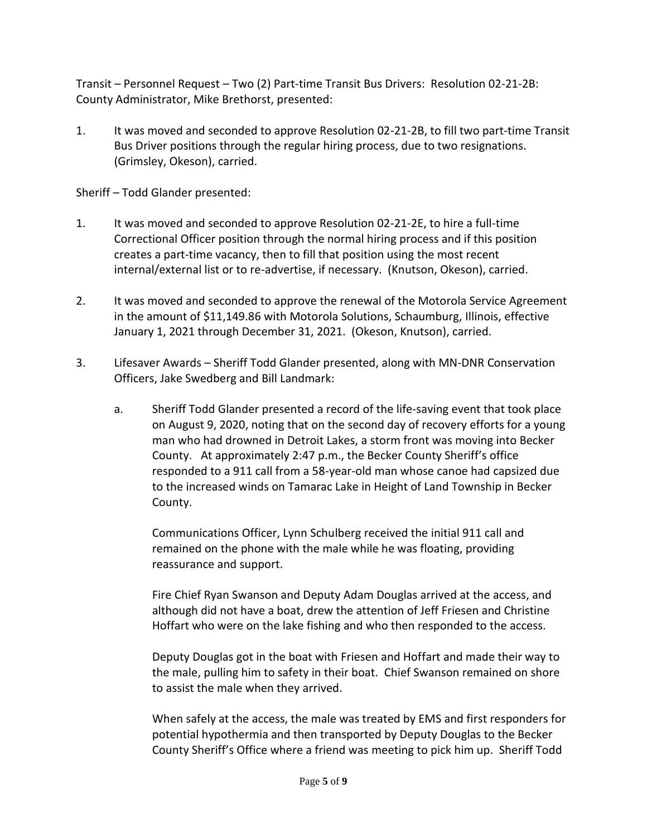Transit – Personnel Request – Two (2) Part-time Transit Bus Drivers: Resolution 02-21-2B: County Administrator, Mike Brethorst, presented:

1. It was moved and seconded to approve Resolution 02-21-2B, to fill two part-time Transit Bus Driver positions through the regular hiring process, due to two resignations. (Grimsley, Okeson), carried.

Sheriff – Todd Glander presented:

- 1. It was moved and seconded to approve Resolution 02-21-2E, to hire a full-time Correctional Officer position through the normal hiring process and if this position creates a part-time vacancy, then to fill that position using the most recent internal/external list or to re-advertise, if necessary. (Knutson, Okeson), carried.
- 2. It was moved and seconded to approve the renewal of the Motorola Service Agreement in the amount of \$11,149.86 with Motorola Solutions, Schaumburg, Illinois, effective January 1, 2021 through December 31, 2021. (Okeson, Knutson), carried.
- 3. Lifesaver Awards Sheriff Todd Glander presented, along with MN-DNR Conservation Officers, Jake Swedberg and Bill Landmark:
	- a. Sheriff Todd Glander presented a record of the life-saving event that took place on August 9, 2020, noting that on the second day of recovery efforts for a young man who had drowned in Detroit Lakes, a storm front was moving into Becker County. At approximately 2:47 p.m., the Becker County Sheriff's office responded to a 911 call from a 58-year-old man whose canoe had capsized due to the increased winds on Tamarac Lake in Height of Land Township in Becker County.

Communications Officer, Lynn Schulberg received the initial 911 call and remained on the phone with the male while he was floating, providing reassurance and support.

Fire Chief Ryan Swanson and Deputy Adam Douglas arrived at the access, and although did not have a boat, drew the attention of Jeff Friesen and Christine Hoffart who were on the lake fishing and who then responded to the access.

Deputy Douglas got in the boat with Friesen and Hoffart and made their way to the male, pulling him to safety in their boat. Chief Swanson remained on shore to assist the male when they arrived.

When safely at the access, the male was treated by EMS and first responders for potential hypothermia and then transported by Deputy Douglas to the Becker County Sheriff's Office where a friend was meeting to pick him up. Sheriff Todd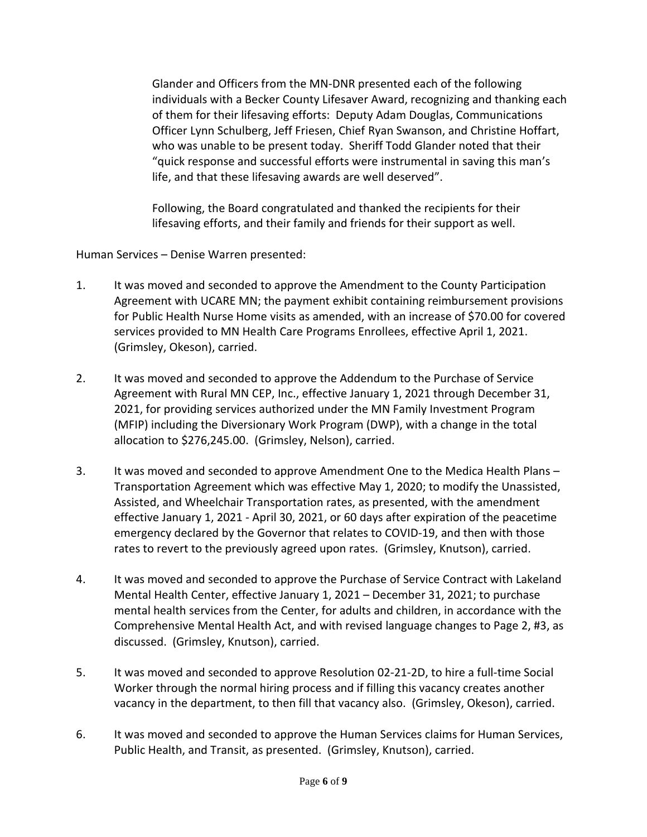Glander and Officers from the MN-DNR presented each of the following individuals with a Becker County Lifesaver Award, recognizing and thanking each of them for their lifesaving efforts: Deputy Adam Douglas, Communications Officer Lynn Schulberg, Jeff Friesen, Chief Ryan Swanson, and Christine Hoffart, who was unable to be present today. Sheriff Todd Glander noted that their "quick response and successful efforts were instrumental in saving this man's life, and that these lifesaving awards are well deserved".

Following, the Board congratulated and thanked the recipients for their lifesaving efforts, and their family and friends for their support as well.

Human Services – Denise Warren presented:

- 1. It was moved and seconded to approve the Amendment to the County Participation Agreement with UCARE MN; the payment exhibit containing reimbursement provisions for Public Health Nurse Home visits as amended, with an increase of \$70.00 for covered services provided to MN Health Care Programs Enrollees, effective April 1, 2021. (Grimsley, Okeson), carried.
- 2. It was moved and seconded to approve the Addendum to the Purchase of Service Agreement with Rural MN CEP, Inc., effective January 1, 2021 through December 31, 2021, for providing services authorized under the MN Family Investment Program (MFIP) including the Diversionary Work Program (DWP), with a change in the total allocation to \$276,245.00. (Grimsley, Nelson), carried.
- 3. It was moved and seconded to approve Amendment One to the Medica Health Plans Transportation Agreement which was effective May 1, 2020; to modify the Unassisted, Assisted, and Wheelchair Transportation rates, as presented, with the amendment effective January 1, 2021 - April 30, 2021, or 60 days after expiration of the peacetime emergency declared by the Governor that relates to COVID-19, and then with those rates to revert to the previously agreed upon rates. (Grimsley, Knutson), carried.
- 4. It was moved and seconded to approve the Purchase of Service Contract with Lakeland Mental Health Center, effective January 1, 2021 – December 31, 2021; to purchase mental health services from the Center, for adults and children, in accordance with the Comprehensive Mental Health Act, and with revised language changes to Page 2, #3, as discussed. (Grimsley, Knutson), carried.
- 5. It was moved and seconded to approve Resolution 02-21-2D, to hire a full-time Social Worker through the normal hiring process and if filling this vacancy creates another vacancy in the department, to then fill that vacancy also. (Grimsley, Okeson), carried.
- 6. It was moved and seconded to approve the Human Services claims for Human Services, Public Health, and Transit, as presented. (Grimsley, Knutson), carried.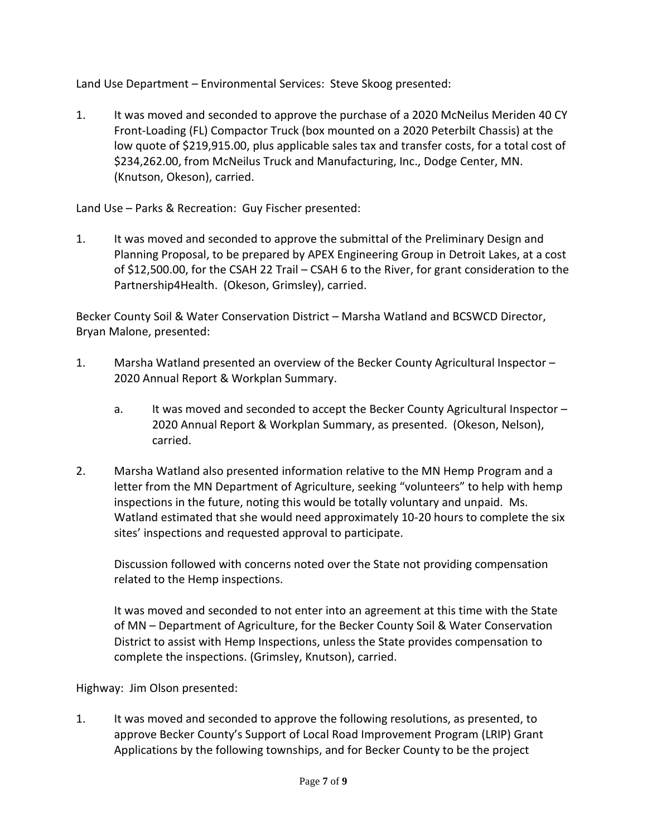Land Use Department – Environmental Services: Steve Skoog presented:

1. It was moved and seconded to approve the purchase of a 2020 McNeilus Meriden 40 CY Front-Loading (FL) Compactor Truck (box mounted on a 2020 Peterbilt Chassis) at the low quote of \$219,915.00, plus applicable sales tax and transfer costs, for a total cost of \$234,262.00, from McNeilus Truck and Manufacturing, Inc., Dodge Center, MN. (Knutson, Okeson), carried.

Land Use – Parks & Recreation: Guy Fischer presented:

1. It was moved and seconded to approve the submittal of the Preliminary Design and Planning Proposal, to be prepared by APEX Engineering Group in Detroit Lakes, at a cost of \$12,500.00, for the CSAH 22 Trail – CSAH 6 to the River, for grant consideration to the Partnership4Health. (Okeson, Grimsley), carried.

Becker County Soil & Water Conservation District – Marsha Watland and BCSWCD Director, Bryan Malone, presented:

- 1. Marsha Watland presented an overview of the Becker County Agricultural Inspector 2020 Annual Report & Workplan Summary.
	- a. It was moved and seconded to accept the Becker County Agricultural Inspector 2020 Annual Report & Workplan Summary, as presented. (Okeson, Nelson), carried.
- 2. Marsha Watland also presented information relative to the MN Hemp Program and a letter from the MN Department of Agriculture, seeking "volunteers" to help with hemp inspections in the future, noting this would be totally voluntary and unpaid. Ms. Watland estimated that she would need approximately 10-20 hours to complete the six sites' inspections and requested approval to participate.

Discussion followed with concerns noted over the State not providing compensation related to the Hemp inspections.

It was moved and seconded to not enter into an agreement at this time with the State of MN – Department of Agriculture, for the Becker County Soil & Water Conservation District to assist with Hemp Inspections, unless the State provides compensation to complete the inspections. (Grimsley, Knutson), carried.

Highway: Jim Olson presented:

1. It was moved and seconded to approve the following resolutions, as presented, to approve Becker County's Support of Local Road Improvement Program (LRIP) Grant Applications by the following townships, and for Becker County to be the project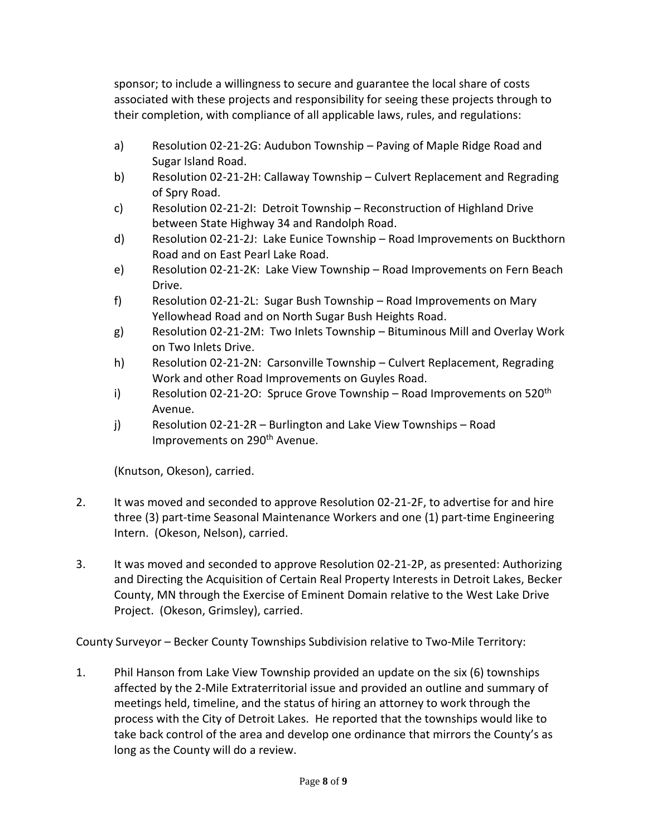sponsor; to include a willingness to secure and guarantee the local share of costs associated with these projects and responsibility for seeing these projects through to their completion, with compliance of all applicable laws, rules, and regulations:

- a) Resolution 02-21-2G: Audubon Township Paving of Maple Ridge Road and Sugar Island Road.
- b) Resolution 02-21-2H: Callaway Township Culvert Replacement and Regrading of Spry Road.
- c) Resolution 02-21-2I: Detroit Township Reconstruction of Highland Drive between State Highway 34 and Randolph Road.
- d) Resolution 02-21-2J: Lake Eunice Township Road Improvements on Buckthorn Road and on East Pearl Lake Road.
- e) Resolution 02-21-2K: Lake View Township Road Improvements on Fern Beach Drive.
- f) Resolution 02-21-2L: Sugar Bush Township Road Improvements on Mary Yellowhead Road and on North Sugar Bush Heights Road.
- g) Resolution 02-21-2M: Two Inlets Township Bituminous Mill and Overlay Work on Two Inlets Drive.
- h) Resolution 02-21-2N: Carsonville Township Culvert Replacement, Regrading Work and other Road Improvements on Guyles Road.
- i) Resolution 02-21-2O: Spruce Grove Township Road Improvements on 520<sup>th</sup> Avenue.
- j) Resolution 02-21-2R Burlington and Lake View Townships Road Improvements on 290<sup>th</sup> Avenue.

(Knutson, Okeson), carried.

- 2. It was moved and seconded to approve Resolution 02-21-2F, to advertise for and hire three (3) part-time Seasonal Maintenance Workers and one (1) part-time Engineering Intern. (Okeson, Nelson), carried.
- 3. It was moved and seconded to approve Resolution 02-21-2P, as presented: Authorizing and Directing the Acquisition of Certain Real Property Interests in Detroit Lakes, Becker County, MN through the Exercise of Eminent Domain relative to the West Lake Drive Project. (Okeson, Grimsley), carried.

County Surveyor – Becker County Townships Subdivision relative to Two-Mile Territory:

1. Phil Hanson from Lake View Township provided an update on the six (6) townships affected by the 2-Mile Extraterritorial issue and provided an outline and summary of meetings held, timeline, and the status of hiring an attorney to work through the process with the City of Detroit Lakes. He reported that the townships would like to take back control of the area and develop one ordinance that mirrors the County's as long as the County will do a review.